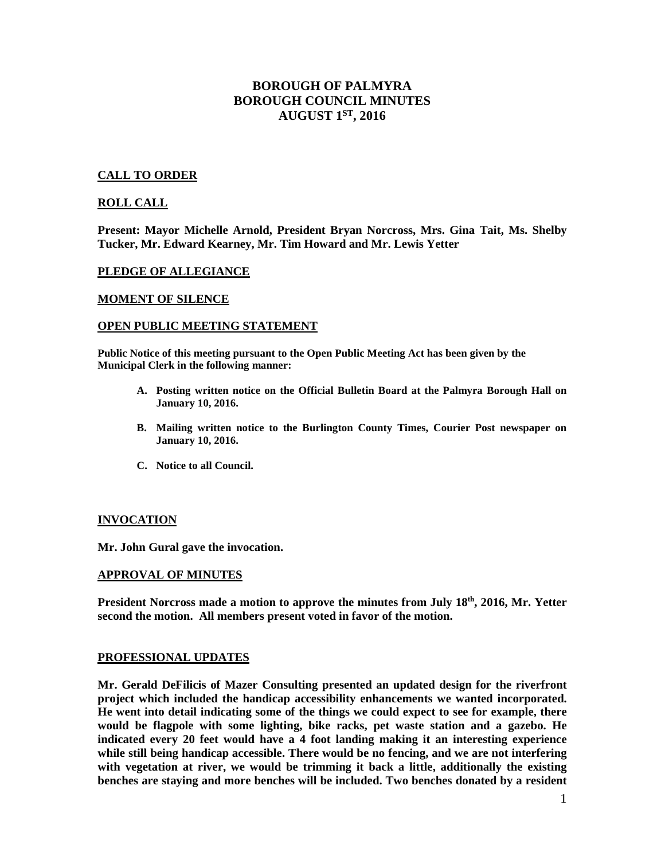# **BOROUGH OF PALMYRA BOROUGH COUNCIL MINUTES AUGUST 1ST, 2016**

## **CALL TO ORDER**

### **ROLL CALL**

**Present: Mayor Michelle Arnold, President Bryan Norcross, Mrs. Gina Tait, Ms. Shelby Tucker, Mr. Edward Kearney, Mr. Tim Howard and Mr. Lewis Yetter** 

### **PLEDGE OF ALLEGIANCE**

### **MOMENT OF SILENCE**

#### **OPEN PUBLIC MEETING STATEMENT**

**Public Notice of this meeting pursuant to the Open Public Meeting Act has been given by the Municipal Clerk in the following manner:** 

- **A. Posting written notice on the Official Bulletin Board at the Palmyra Borough Hall on January 10, 2016.**
- **B. Mailing written notice to the Burlington County Times, Courier Post newspaper on January 10, 2016.**
- **C. Notice to all Council.**

### **INVOCATION**

**Mr. John Gural gave the invocation.** 

#### **APPROVAL OF MINUTES**

**President Norcross made a motion to approve the minutes from July 18th, 2016, Mr. Yetter second the motion. All members present voted in favor of the motion.** 

### **PROFESSIONAL UPDATES**

**Mr. Gerald DeFilicis of Mazer Consulting presented an updated design for the riverfront project which included the handicap accessibility enhancements we wanted incorporated. He went into detail indicating some of the things we could expect to see for example, there would be flagpole with some lighting, bike racks, pet waste station and a gazebo. He indicated every 20 feet would have a 4 foot landing making it an interesting experience while still being handicap accessible. There would be no fencing, and we are not interfering with vegetation at river, we would be trimming it back a little, additionally the existing benches are staying and more benches will be included. Two benches donated by a resident**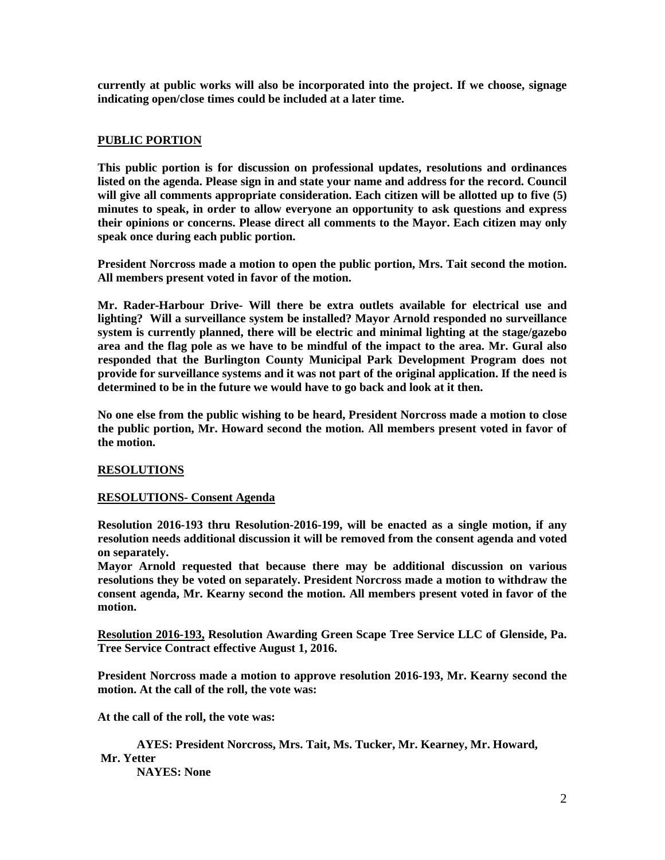**currently at public works will also be incorporated into the project. If we choose, signage indicating open/close times could be included at a later time.** 

## **PUBLIC PORTION**

**This public portion is for discussion on professional updates, resolutions and ordinances listed on the agenda. Please sign in and state your name and address for the record. Council will give all comments appropriate consideration. Each citizen will be allotted up to five (5) minutes to speak, in order to allow everyone an opportunity to ask questions and express their opinions or concerns. Please direct all comments to the Mayor. Each citizen may only speak once during each public portion.** 

**President Norcross made a motion to open the public portion, Mrs. Tait second the motion. All members present voted in favor of the motion.** 

**Mr. Rader-Harbour Drive- Will there be extra outlets available for electrical use and lighting? Will a surveillance system be installed? Mayor Arnold responded no surveillance system is currently planned, there will be electric and minimal lighting at the stage/gazebo area and the flag pole as we have to be mindful of the impact to the area. Mr. Gural also responded that the Burlington County Municipal Park Development Program does not provide for surveillance systems and it was not part of the original application. If the need is determined to be in the future we would have to go back and look at it then.** 

**No one else from the public wishing to be heard, President Norcross made a motion to close the public portion, Mr. Howard second the motion. All members present voted in favor of the motion.** 

## **RESOLUTIONS**

### **RESOLUTIONS- Consent Agenda**

**Resolution 2016-193 thru Resolution-2016-199, will be enacted as a single motion, if any resolution needs additional discussion it will be removed from the consent agenda and voted on separately.** 

**Mayor Arnold requested that because there may be additional discussion on various resolutions they be voted on separately. President Norcross made a motion to withdraw the consent agenda, Mr. Kearny second the motion. All members present voted in favor of the motion.** 

**Resolution 2016-193, Resolution Awarding Green Scape Tree Service LLC of Glenside, Pa. Tree Service Contract effective August 1, 2016.** 

**President Norcross made a motion to approve resolution 2016-193, Mr. Kearny second the motion. At the call of the roll, the vote was:** 

**At the call of the roll, the vote was:** 

 **AYES: President Norcross, Mrs. Tait, Ms. Tucker, Mr. Kearney, Mr. Howard, Mr. Yetter NAYES: None**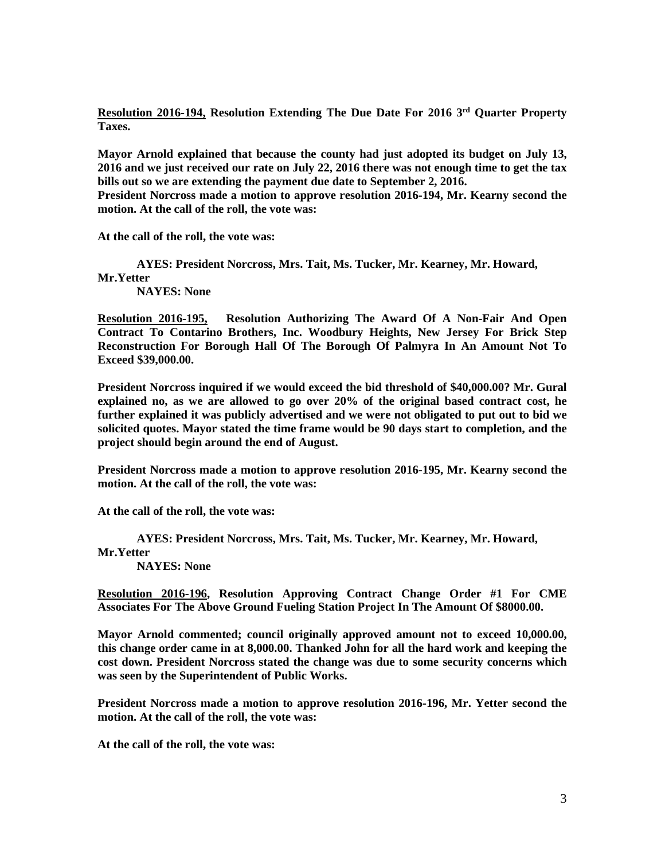**Resolution 2016-194, Resolution Extending The Due Date For 2016 3rd Quarter Property Taxes.** 

**Mayor Arnold explained that because the county had just adopted its budget on July 13, 2016 and we just received our rate on July 22, 2016 there was not enough time to get the tax bills out so we are extending the payment due date to September 2, 2016. President Norcross made a motion to approve resolution 2016-194, Mr. Kearny second the motion. At the call of the roll, the vote was:** 

**At the call of the roll, the vote was:** 

 **AYES: President Norcross, Mrs. Tait, Ms. Tucker, Mr. Kearney, Mr. Howard, Mr.Yetter NAYES: None** 

**Resolution 2016-195, Resolution Authorizing The Award Of A Non-Fair And Open Contract To Contarino Brothers, Inc. Woodbury Heights, New Jersey For Brick Step Reconstruction For Borough Hall Of The Borough Of Palmyra In An Amount Not To Exceed \$39,000.00.** 

**President Norcross inquired if we would exceed the bid threshold of \$40,000.00? Mr. Gural explained no, as we are allowed to go over 20% of the original based contract cost, he further explained it was publicly advertised and we were not obligated to put out to bid we solicited quotes. Mayor stated the time frame would be 90 days start to completion, and the project should begin around the end of August.** 

**President Norcross made a motion to approve resolution 2016-195, Mr. Kearny second the motion. At the call of the roll, the vote was:** 

**At the call of the roll, the vote was:** 

 **AYES: President Norcross, Mrs. Tait, Ms. Tucker, Mr. Kearney, Mr. Howard, Mr.Yetter** 

 **NAYES: None** 

**Resolution 2016-196, Resolution Approving Contract Change Order #1 For CME Associates For The Above Ground Fueling Station Project In The Amount Of \$8000.00.** 

**Mayor Arnold commented; council originally approved amount not to exceed 10,000.00, this change order came in at 8,000.00. Thanked John for all the hard work and keeping the cost down. President Norcross stated the change was due to some security concerns which was seen by the Superintendent of Public Works.** 

**President Norcross made a motion to approve resolution 2016-196, Mr. Yetter second the motion. At the call of the roll, the vote was:** 

**At the call of the roll, the vote was:**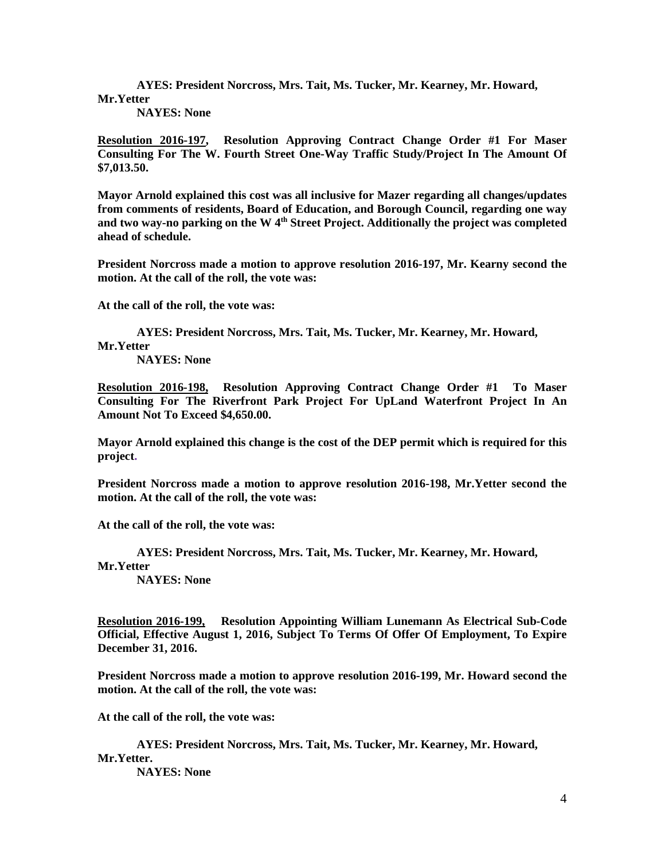**AYES: President Norcross, Mrs. Tait, Ms. Tucker, Mr. Kearney, Mr. Howard, Mr.Yetter** 

 **NAYES: None** 

**Resolution 2016-197, Resolution Approving Contract Change Order #1 For Maser Consulting For The W. Fourth Street One-Way Traffic Study/Project In The Amount Of \$7,013.50.** 

**Mayor Arnold explained this cost was all inclusive for Mazer regarding all changes/updates from comments of residents, Board of Education, and Borough Council, regarding one way and two way-no parking on the W 4th Street Project. Additionally the project was completed ahead of schedule.** 

**President Norcross made a motion to approve resolution 2016-197, Mr. Kearny second the motion. At the call of the roll, the vote was:** 

**At the call of the roll, the vote was:** 

 **AYES: President Norcross, Mrs. Tait, Ms. Tucker, Mr. Kearney, Mr. Howard, Mr.Yetter** 

 **NAYES: None** 

**Resolution 2016-198, Resolution Approving Contract Change Order #1 To Maser Consulting For The Riverfront Park Project For UpLand Waterfront Project In An Amount Not To Exceed \$4,650.00.** 

**Mayor Arnold explained this change is the cost of the DEP permit which is required for this project.** 

**President Norcross made a motion to approve resolution 2016-198, Mr.Yetter second the motion. At the call of the roll, the vote was:** 

**At the call of the roll, the vote was:** 

 **AYES: President Norcross, Mrs. Tait, Ms. Tucker, Mr. Kearney, Mr. Howard, Mr.Yetter** 

 **NAYES: None** 

**Resolution 2016-199, Resolution Appointing William Lunemann As Electrical Sub-Code Official, Effective August 1, 2016, Subject To Terms Of Offer Of Employment, To Expire December 31, 2016.** 

**President Norcross made a motion to approve resolution 2016-199, Mr. Howard second the motion. At the call of the roll, the vote was:** 

**At the call of the roll, the vote was:** 

 **AYES: President Norcross, Mrs. Tait, Ms. Tucker, Mr. Kearney, Mr. Howard, Mr.Yetter.** 

 **NAYES: None**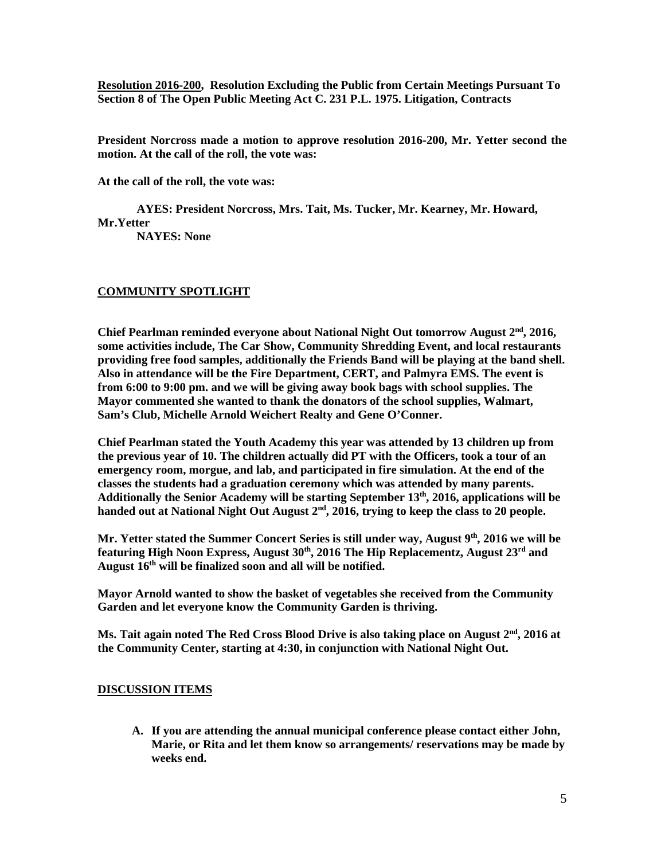**Resolution 2016-200, Resolution Excluding the Public from Certain Meetings Pursuant To Section 8 of The Open Public Meeting Act C. 231 P.L. 1975. Litigation, Contracts** 

**President Norcross made a motion to approve resolution 2016-200, Mr. Yetter second the motion. At the call of the roll, the vote was:** 

**At the call of the roll, the vote was:** 

 **AYES: President Norcross, Mrs. Tait, Ms. Tucker, Mr. Kearney, Mr. Howard, Mr.Yetter** 

 **NAYES: None** 

## **COMMUNITY SPOTLIGHT**

**Chief Pearlman reminded everyone about National Night Out tomorrow August 2nd, 2016, some activities include, The Car Show, Community Shredding Event, and local restaurants providing free food samples, additionally the Friends Band will be playing at the band shell. Also in attendance will be the Fire Department, CERT, and Palmyra EMS. The event is from 6:00 to 9:00 pm. and we will be giving away book bags with school supplies. The Mayor commented she wanted to thank the donators of the school supplies, Walmart, Sam's Club, Michelle Arnold Weichert Realty and Gene O'Conner.** 

**Chief Pearlman stated the Youth Academy this year was attended by 13 children up from the previous year of 10. The children actually did PT with the Officers, took a tour of an emergency room, morgue, and lab, and participated in fire simulation. At the end of the classes the students had a graduation ceremony which was attended by many parents. Additionally the Senior Academy will be starting September 13th, 2016, applications will be handed out at National Night Out August 2nd, 2016, trying to keep the class to 20 people.** 

**Mr. Yetter stated the Summer Concert Series is still under way, August 9th, 2016 we will be featuring High Noon Express, August 30th, 2016 The Hip Replacementz, August 23rd and August 16th will be finalized soon and all will be notified.** 

**Mayor Arnold wanted to show the basket of vegetables she received from the Community Garden and let everyone know the Community Garden is thriving.** 

**Ms. Tait again noted The Red Cross Blood Drive is also taking place on August 2nd, 2016 at the Community Center, starting at 4:30, in conjunction with National Night Out.** 

## **DISCUSSION ITEMS**

**A. If you are attending the annual municipal conference please contact either John, Marie, or Rita and let them know so arrangements/ reservations may be made by weeks end.**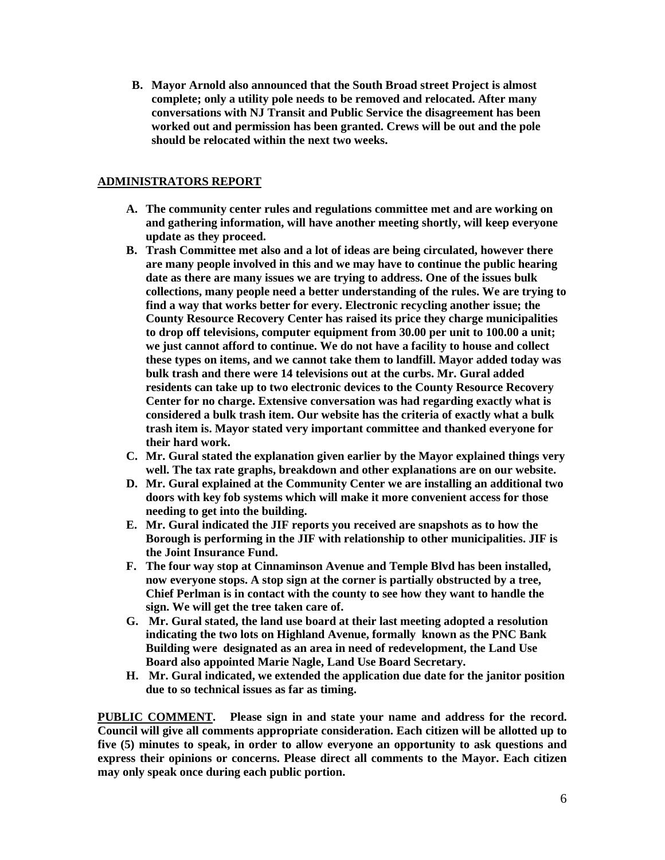**B. Mayor Arnold also announced that the South Broad street Project is almost complete; only a utility pole needs to be removed and relocated. After many conversations with NJ Transit and Public Service the disagreement has been worked out and permission has been granted. Crews will be out and the pole should be relocated within the next two weeks.** 

## **ADMINISTRATORS REPORT**

- **A. The community center rules and regulations committee met and are working on and gathering information, will have another meeting shortly, will keep everyone update as they proceed.**
- **B. Trash Committee met also and a lot of ideas are being circulated, however there are many people involved in this and we may have to continue the public hearing date as there are many issues we are trying to address. One of the issues bulk collections, many people need a better understanding of the rules. We are trying to find a way that works better for every. Electronic recycling another issue; the County Resource Recovery Center has raised its price they charge municipalities to drop off televisions, computer equipment from 30.00 per unit to 100.00 a unit; we just cannot afford to continue. We do not have a facility to house and collect these types on items, and we cannot take them to landfill. Mayor added today was bulk trash and there were 14 televisions out at the curbs. Mr. Gural added residents can take up to two electronic devices to the County Resource Recovery Center for no charge. Extensive conversation was had regarding exactly what is considered a bulk trash item. Our website has the criteria of exactly what a bulk trash item is. Mayor stated very important committee and thanked everyone for their hard work.**
- **C. Mr. Gural stated the explanation given earlier by the Mayor explained things very well. The tax rate graphs, breakdown and other explanations are on our website.**
- **D. Mr. Gural explained at the Community Center we are installing an additional two doors with key fob systems which will make it more convenient access for those needing to get into the building.**
- **E. Mr. Gural indicated the JIF reports you received are snapshots as to how the Borough is performing in the JIF with relationship to other municipalities. JIF is the Joint Insurance Fund.**
- **F. The four way stop at Cinnaminson Avenue and Temple Blvd has been installed, now everyone stops. A stop sign at the corner is partially obstructed by a tree, Chief Perlman is in contact with the county to see how they want to handle the sign. We will get the tree taken care of.**
- **G. Mr. Gural stated, the land use board at their last meeting adopted a resolution indicating the two lots on Highland Avenue, formally known as the PNC Bank Building were designated as an area in need of redevelopment, the Land Use Board also appointed Marie Nagle, Land Use Board Secretary.**
- **H. Mr. Gural indicated, we extended the application due date for the janitor position due to so technical issues as far as timing.**

**PUBLIC COMMENT. Please sign in and state your name and address for the record. Council will give all comments appropriate consideration. Each citizen will be allotted up to five (5) minutes to speak, in order to allow everyone an opportunity to ask questions and express their opinions or concerns. Please direct all comments to the Mayor. Each citizen may only speak once during each public portion.**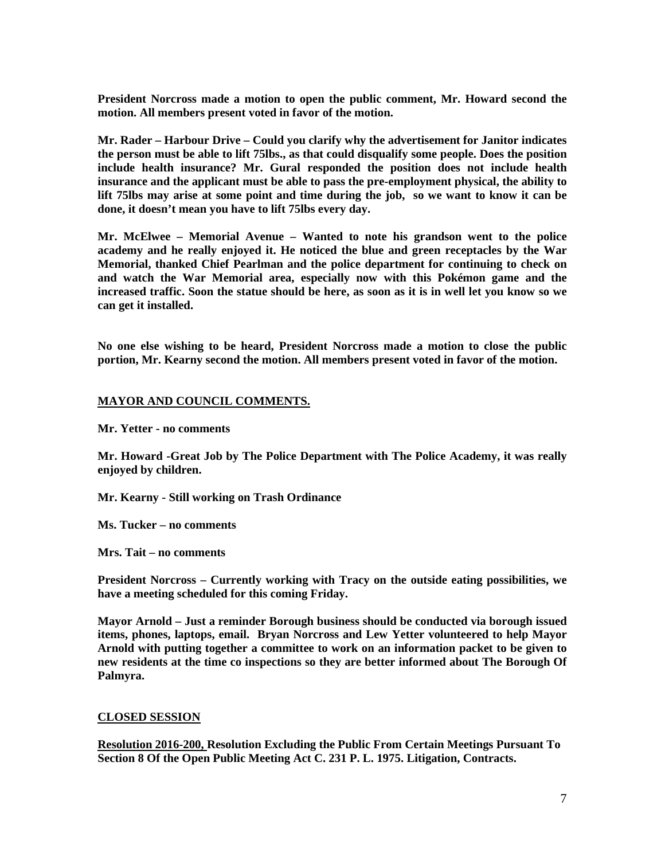**President Norcross made a motion to open the public comment, Mr. Howard second the motion. All members present voted in favor of the motion.** 

**Mr. Rader – Harbour Drive – Could you clarify why the advertisement for Janitor indicates the person must be able to lift 75lbs., as that could disqualify some people. Does the position include health insurance? Mr. Gural responded the position does not include health insurance and the applicant must be able to pass the pre-employment physical, the ability to lift 75lbs may arise at some point and time during the job, so we want to know it can be done, it doesn't mean you have to lift 75lbs every day.** 

**Mr. McElwee – Memorial Avenue – Wanted to note his grandson went to the police academy and he really enjoyed it. He noticed the blue and green receptacles by the War Memorial, thanked Chief Pearlman and the police department for continuing to check on and watch the War Memorial area, especially now with this Pokémon game and the increased traffic. Soon the statue should be here, as soon as it is in well let you know so we can get it installed.** 

**No one else wishing to be heard, President Norcross made a motion to close the public portion, Mr. Kearny second the motion. All members present voted in favor of the motion.** 

### **MAYOR AND COUNCIL COMMENTS.**

**Mr. Yetter - no comments** 

**Mr. Howard -Great Job by The Police Department with The Police Academy, it was really enjoyed by children.** 

**Mr. Kearny - Still working on Trash Ordinance** 

**Ms. Tucker – no comments** 

**Mrs. Tait – no comments** 

**President Norcross – Currently working with Tracy on the outside eating possibilities, we have a meeting scheduled for this coming Friday.** 

**Mayor Arnold – Just a reminder Borough business should be conducted via borough issued items, phones, laptops, email. Bryan Norcross and Lew Yetter volunteered to help Mayor Arnold with putting together a committee to work on an information packet to be given to new residents at the time co inspections so they are better informed about The Borough Of Palmyra.** 

### **CLOSED SESSION**

**Resolution 2016-200, Resolution Excluding the Public From Certain Meetings Pursuant To Section 8 Of the Open Public Meeting Act C. 231 P. L. 1975. Litigation, Contracts.**